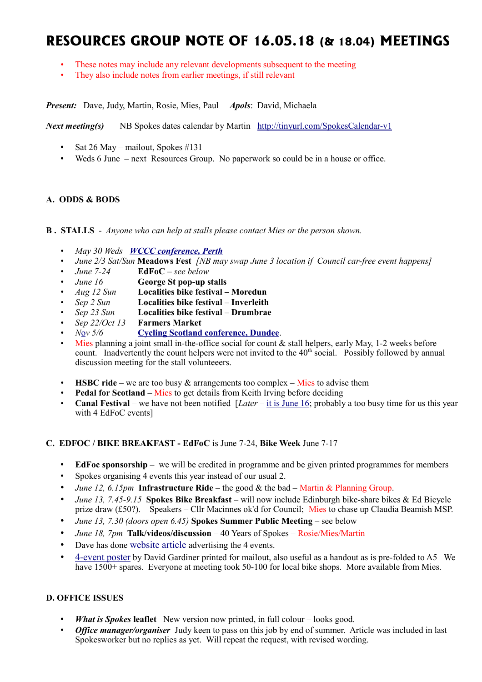# **RESOURCES GROUP NOTE OF 16.05.18 (& 18.04) MEETINGS**

- These notes may include any relevant developments subsequent to the meeting
- They also include notes from earlier meetings, if still relevant

*Present:* Dave, Judy, Martin, Rosie, Mies, Paul *Apols*: David, Michaela

*Next meeting(s)* NB Spokes dates calendar by Martin <http://tinyurl.com/SpokesCalendar-v1>

- Sat 26 May mailout, Spokes #131
- Weds 6 June next Resources Group. No paperwork so could be in a house or office.

# **A. ODDS & BODS**

#### **B . STALLS** - *Anyone who can help at stalls please contact Mies or the person shown.*

- *May 30 Weds [WCCC conference, Perth](https://www.pathsforall.org.uk/pfa/get-involved/scotlands-national-active-travel-conference.html)*
- *June 2/3 Sat/Sun* **Meadows Fest** *[NB may swap June 3 location if Council car-free event happens]*
- *June 7-24* **EdFoC** *see below*
- *June 16* **George St pop-up stalls**
- *Aug 12 Sun* **Localities bike festival Moredun**
- *Sep 2 Sun* **Localities bike festival Inverleith**
- *Sep 23 Sun* **Localities bike festival Drumbrae**
- *Sep 22/Oct 13* **Farmers Market**
- *N*[o](https://www.pathsforall.org.uk/pfa/get-involved/scotlands-national-active-travel-conference.html)*v 5/6* **[Cycling Scotland conference, Dundee](http://mailchi.mp/cycling/early-bird-discount-ends-today-monday-2nd-october-2036965?e=df4f9c501f)**.
- Mies planning a joint small in-the-office social for count  $\&$  stall helpers, early May, 1-2 weeks before count. Inadvertently the count helpers were not invited to the  $40<sup>th</sup>$  social. Possibly followed by annual discussion meeting for the stall volunteeers.
- **HSBC ride** we are too busy  $\&$  arrangements too complex Mies to advise them
- **Pedal for Scotland** Mies to get details from Keith Irving before deciding
- **Canal Festival** we have not been notified [*Later* – [it is June 16;](http://www.edinburghcanalfestival.org.uk/) probably a too busy time for us this year with 4 EdFoC events]

## **C. EDFOC / BIKE BREAKFAST - EdFoC** is June 7-24, **Bike Week** June 7-17

- **EdFoc sponsorship** we will be credited in programme and be given printed programmes for members
- Spokes organising 4 events this year instead of our usual 2.
- *June 12, 6.15pm* **Infrastructure Ride** the good & the bad Martin & Planning Group.
- *June 13, 7.45-9.15* **Spokes Bike Breakfast** will now include Edinburgh bike-share bikes & Ed Bicycle prize draw (£50?). Speakers – Cllr Macinnes ok'd for Council; Mies to chase up Claudia Beamish MSP.
- *June 13, 7.30 (doors open 6.45)* **Spokes Summer Public Meeting** see below
- *June 18, 7pm* **Talk/videos/discussion** 40 Years of Spokes Rosie/Mies/Martin
- Dave has done [website article](http://www.spokes.org.uk/2018/05/city-centre-transformation-and-edfoc/) advertising the 4 events.
- [4-event poster](http://www.spokes.org.uk/wp-content/uploads/2018/05/Spokes-Poster-Summer-2018E-final-nonprint.pdf) by David Gardiner printed for mailout, also useful as a handout as is pre-folded to A5 We have 1500+ spares. Everyone at meeting took 50-100 for local bike shops. More available from Mies.

## **D. OFFICE ISSUES**

- *What is Spokes* **leaflet** New version now printed, in full colour looks good.
- *Office manager/organiser* Judy keen to pass on this job by end of summer. Article was included in last Spokesworker but no replies as yet. Will repeat the request, with revised wording.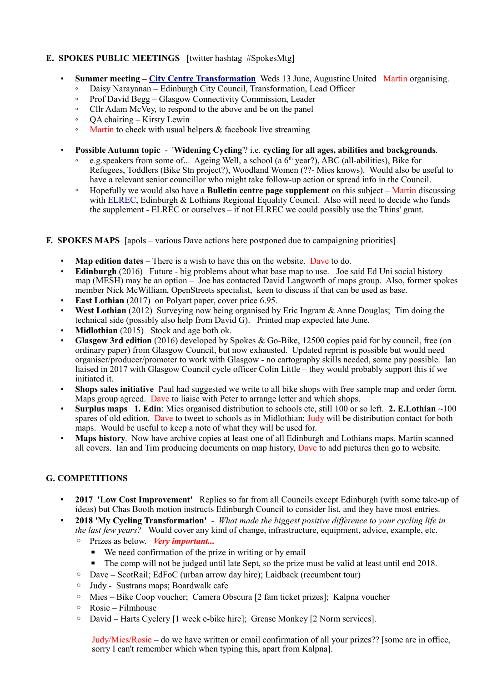# **E. SPOKES PUBLIC MEETINGS** [twitter hashtag #SpokesMtg]

- **Summer meeting – [City Centre Transformation](http://www.spokes.org.uk/2017/11/transforming-picardy-leith-st-and-the-city-centre/)** Weds 13 June, Augustine United Martin organising.
	- Daisy Narayanan Edinburgh City Council, Transformation, Lead Officer
	- Prof David Begg Glasgow Connectivity Commission, Leader
	- Cllr Adam McVey, to respond to the above and be on the panel
	- QA chairing Kirsty Lewin
	- Martin to check with usual helpers & facebook live streaming
- **Possible Autumn topic** '**Widening Cycling**'? i.e. **cycling for all ages, abilities and backgrounds***.*
	- e.g.speakers from some of... Ageing Well, a school (a  $6<sup>th</sup>$  year?), ABC (all-abilities), Bike for Refugees, Toddlers (Bike Stn project?), Woodland Women (??- Mies knows). Would also be useful to have a relevant senior councillor who might take follow-up action or spread info in the Council.
	- Hopefully we would also have a **Bulletin centre page supplement** on this subject Martin discussing with [ELREC,](http://www.elrec.org.uk/) Edinburgh & Lothians Regional Equality Council. Also will need to decide who funds the supplement - ELREC or ourselves – if not ELREC we could possibly use the Thins' grant.

## **F. SPOKES MAPS** [apols – various Dave actions here postponed due to campaigning priorities]

- **Map edition dates** There is a wish to have this on the website. Dave to do.
- **Edinburgh** (2016) Future big problems about what base map to use. Joe said Ed Uni social history map (MESH) may be an option – Joe has contacted David Langworth of maps group. Also, former spokes member Nick McWilliam, OpenStreets specialist, keen to discuss if that can be used as base.
- **East Lothian** (2017) on Polyart paper, cover price 6.95.
- **West Lothian** (2012) Surveying now being organised by Eric Ingram & Anne Douglas; Tim doing the technical side (possibly also help from David G). Printed map expected late June.
- **Midlothian** (2015) Stock and age both ok.
- **Glasgow 3rd edition** (2016) developed by Spokes & Go-Bike, 12500 copies paid for by council, free (on ordinary paper) from Glasgow Council, but now exhausted. Updated reprint is possible but would need organiser/producer/promoter to work with Glasgow - no cartography skills needed, some pay possible. Ian liaised in 2017 with Glasgow Council cycle officer Colin Little – they would probably support this if we initiated it.
- **Shops sales initiative** Paul had suggested we write to all bike shops with free sample map and order form. Maps group agreed. Dave to liaise with Peter to arrange letter and which shops.
- **Surplus maps 1. Edin**: Mies organised distribution to schools etc, still 100 or so left. **2. E.Lothian** ~100 spares of old edition. Dave to tweet to schools as in Midlothian; Judy will be distribution contact for both maps. Would be useful to keep a note of what they will be used for.
- **Maps history**. Now have archive copies at least one of all Edinburgh and Lothians maps. Martin scanned all covers. Ian and Tim producing documents on map history, Dave to add pictures then go to website.

## **G. COMPETITIONS**

- **2017 'Low Cost Improvement'** Replies so far from all Councils except Edinburgh (with some take-up of ideas) but Chas Booth motion instructs Edinburgh Council to consider list, and they have most entries.
- **2018 'My Cycling Transformation'**  *What made the biggest positive difference to your cycling life in the last few years?* Would cover any kind of change, infrastructure, equipment, advice, example, etc. ◦ Prizes as below. *Very important...*
	- We need confirmation of the prize in writing or by email
		- The comp will not be judged until late Sept, so the prize must be valid at least until end 2018.
	- Dave ScotRail; EdFoC (urban arrow day hire); Laidback (recumbent tour)
	- Judy Sustrans maps; Boardwalk cafe
	- Mies Bike Coop voucher; Camera Obscura [2 fam ticket prizes]; Kalpna voucher
	- Rosie Filmhouse
	- David Harts Cyclery [1 week e-bike hire]; Grease Monkey [2 Norm services].

Judy/Mies/Rosie – do we have written or email confirmation of all your prizes?? [some are in office, sorry I can't remember which when typing this, apart from Kalpna].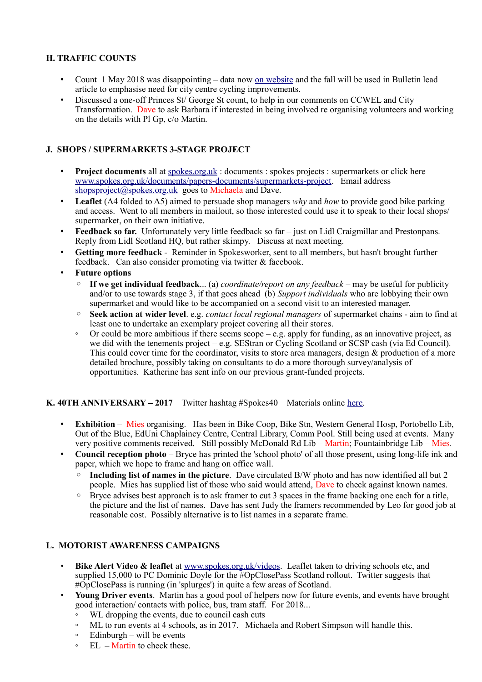## **H. TRAFFIC COUNTS**

- Count 1 May 2018 was disappointing data now [on website](http://www.spokes.org.uk/documents/papers-documents/spokes-traffic-counts/#s2) and the fall will be used in Bulletin lead article to emphasise need for city centre cycling improvements.
- Discussed a one-off Princes St/ George St count, to help in our comments on CCWEL and City Transformation. Dave to ask Barbara if interested in being involved re organising volunteers and working on the details with Pl Gp, c/o Martin.

## **J. SHOPS / SUPERMARKETS 3-STAGE PROJECT**

- **Project documents** all at spokes.org.uk: documents : spokes projects : supermarkets or click here [www.spokes.org.uk/documents/papers-documents/supermarkets-project.](http://www.spokes.org.uk/documents/papers-documents/supermarkets-project) Email address [shopsproject@spokes.org.uk](mailto:shopsproject@spokes.org.uk) goes to Michaela and Dave.
- **Leaflet** (A4 folded to A5) aimed to persuade shop managers *why* and *how* to provide good bike parking and access. Went to all members in mailout, so those interested could use it to speak to their local shops/ supermarket, on their own initiative.
- **Feedback so far.** Unfortunately very little feedback so far just on Lidl Craigmillar and Prestonpans. Reply from Lidl Scotland HQ, but rather skimpy. Discuss at next meeting.
- **Getting more feedback** Reminder in Spokesworker, sent to all members, but hasn't brought further feedback. Can also consider promoting via twitter & facebook.
- **Future options**
	- **If we get individual feedback**... (a) *coordinate/report on any feedback* may be useful for publicity and/or to use towards stage 3, if that goes ahead (b) *Support individuals* who are lobbying their own supermarket and would like to be accompanied on a second visit to an interested manager.
	- **Seek action at wider level**. e.g. *contact local regional managers* of supermarket chains aim to find at least one to undertake an exemplary project covering all their stores.
	- Or could be more ambitious if there seems scope e.g. apply for funding, as an innovative project, as we did with the tenements project – e.g. SEStran or Cycling Scotland or SCSP cash (via Ed Council). This could cover time for the coordinator, visits to store area managers, design & production of a more detailed brochure, possibly taking on consultants to do a more thorough survey/analysis of opportunities. Katherine has sent info on our previous grant-funded projects.

## **K. 40TH ANNIVERSARY – 2017** Twitter hashtag #Spokes40 Materials online [here.](http://www.spokes.org.uk/documents/odds-and-ends-may-be-exciting/spokes-history/)

- **Exhibition** Mies organising. Has been in Bike Coop, Bike Stn, Western General Hosp, Portobello Lib, Out of the Blue, EdUni Chaplaincy Centre, Central Library, Comm Pool. Still being used at events. Many very positive comments received. Still possibly McDonald Rd Lib – Martin; Fountainbridge Lib – Mies.
- **Council reception photo** Bryce has printed the 'school photo' of all those present, using long-life ink and paper, which we hope to frame and hang on office wall.
	- **Including list of names in the picture**. Dave circulated B/W photo and has now identified all but 2 people. Mies has supplied list of those who said would attend, Dave to check against known names.
	- Bryce advises best approach is to ask framer to cut 3 spaces in the frame backing one each for a title, the picture and the list of names. Dave has sent Judy the framers recommended by Leo for good job at reasonable cost. Possibly alternative is to list names in a separate frame.

## **L. MOTORIST AWARENESS CAMPAIGNS**

- **Bike Alert Video & leaflet** at [www.spokes.org.uk/videos.](http://www.spokes.org.uk/videos) Leaflet taken to driving schools etc, and supplied 15,000 to PC Dominic Doyle for the #OpClosePass Scotland rollout. Twitter suggests that #OpClosePass is running (in 'splurges') in quite a few areas of Scotland.
- **Young Driver events**. Martin has a good pool of helpers now for future events, and events have brought good interaction/ contacts with police, bus, tram staff. For 2018...
	- WL dropping the events, due to council cash cuts
	- ML to run events at 4 schools, as in 2017. Michaela and Robert Simpson will handle this.
	- Edinburgh will be events
	- EL Martin to check these.